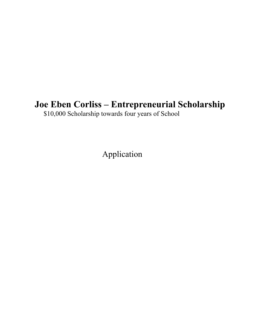# **Joe Eben Corliss – Entrepreneurial Scholarship**

\$10,000 Scholarship towards four years of School

Application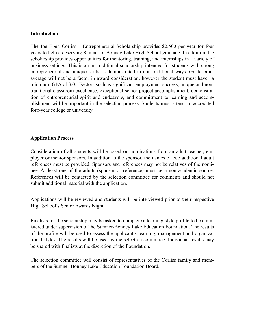#### **Introduction**

The Joe Eben Corliss – Entrepreneurial Scholarship provides \$2,500 per year for four years to help a deserving Sumner or Bonney Lake High School graduate. In addition, the scholarship provides opportunities for mentoring, training, and internships in a variety of business settings. This is a non-traditional scholarship intended for students with strong entrepreneurial and unique skills as demonstrated in non-traditional ways. Grade point average will not be a factor in award consideration, however the student must have a minimum GPA of 3.0. Factors such as significant employment success, unique and nontraditional classroom excellence, exceptional senior project accomplishment, demonstration of entrepreneurial spirit and endeavors, and commitment to learning and accomplishment will be important in the selection process. Students must attend an accredited four-year college or university.

### **Application Process**

Consideration of all students will be based on nominations from an adult teacher, employer or mentor sponsors. In addition to the sponsor, the names of two additional adult references must be provided. Sponsors and references may not be relatives of the nominee. At least one of the adults (sponsor or reference) must be a non-academic source. References will be contacted by the selection committee for comments and should not submit additional material with the application.

Applications will be reviewed and students will be interviewed prior to their respective High School's Senior Awards Night.

Finalists for the scholarship may be asked to complete a learning style profile to be aministered under supervision of the Sumner-Bonney Lake Education Foundation. The results of the profile will be used to assess the applicant's learning, management and organizational styles. The results will be used by the selection committee. Individual results may be shared with finalists at the discretion of the Foundation.

The selection committee will consist of representatives of the Corliss family and members of the Sumner-Bonney Lake Education Foundation Board.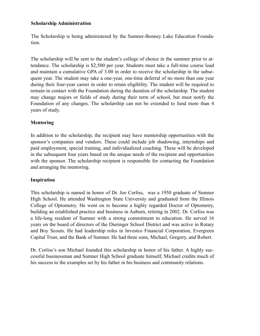### **Scholarship Administration**

The Scholarship is being administered by the Sumner-Bonney Lake Education Foundation.

The scholarship will be sent to the student's college of choice in the summer prior to attendance. The scholarship is \$2,500 per year. Students must take a full-time course load and maintain a cumulative GPA of 3.00 in order to receive the scholarship in the subsequent year. The student may take a one-year, one-time deferral of no more than one year during their four-year career in order to retain eligibility. The student will be required to remain in contact with the Foundation during the duration of the scholarship. The student may change majors or fields of study during their term of school, but must notify the Foundation of any changes. The scholarship can not be extended to fund more than 4 years of study.

# **Mentoring**

In addition to the scholarship, the recipient may have mentorship opportunities with the sponsor's companies and vendors. These could include job shadowing, internships and paid employment, special training, and individualized coaching. These will be developed in the subsequent four years based on the unique needs of the recipient and opportunities with the sponsor. The scholarship recipient is responsible for contacting the Foundation and arranging the mentoring.

# **Inspiration**

This scholarship is named in honor of Dr. Joe Corliss, was a 1950 graduate of Sumner High School. He attended Washington State University and graduated from the Illinois College of Optometry. He went on to become a highly regarded Doctor of Optometry, building an established practice and business in Auburn, retiring in 2002. Dr. Corliss was a life-long resident of Sumner with a strong commitment to education. He served 16 years on the board of directors of the Dieringer School District and was active in Rotary and Boy Scouts. He had leadership roles in Investco Financial Corporation, Evergreen Capital Trust, and the Bank of Sumner. He had three sons, Michael, Gregory, and Robert.

Dr. Corliss's son Michael founded this scholarship in honor of his father. A highly successful businessman and Sumner High School graduate himself, Michael credits much of his success to the examples set by his father in his business and community relations.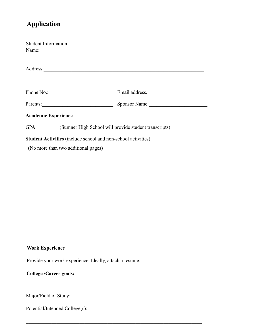# **Application**

| <b>Student Information</b>                                     |                                      |  |
|----------------------------------------------------------------|--------------------------------------|--|
| Name:                                                          |                                      |  |
|                                                                |                                      |  |
|                                                                |                                      |  |
|                                                                |                                      |  |
|                                                                |                                      |  |
|                                                                | Email address.                       |  |
|                                                                | Parents: Sponsor Name: Sponsor Name: |  |
| <b>Academic Experience</b>                                     |                                      |  |
| GPA: (Sumner High School will provide student transcripts)     |                                      |  |
| Student Activities (include school and non-school activities): |                                      |  |
|                                                                |                                      |  |

(No more than two additional pages)

# **Work Experience**

Provide your work experience. Ideally, attach a resume.

 $\mathcal{L}_\mathcal{L} = \mathcal{L}_\mathcal{L} = \mathcal{L}_\mathcal{L} = \mathcal{L}_\mathcal{L} = \mathcal{L}_\mathcal{L} = \mathcal{L}_\mathcal{L} = \mathcal{L}_\mathcal{L} = \mathcal{L}_\mathcal{L} = \mathcal{L}_\mathcal{L} = \mathcal{L}_\mathcal{L} = \mathcal{L}_\mathcal{L} = \mathcal{L}_\mathcal{L} = \mathcal{L}_\mathcal{L} = \mathcal{L}_\mathcal{L} = \mathcal{L}_\mathcal{L} = \mathcal{L}_\mathcal{L} = \mathcal{L}_\mathcal{L}$ 

# **College /Career goals:**

Major/Field of Study:\_\_\_\_\_\_\_\_\_\_\_\_\_\_\_\_\_\_\_\_\_\_\_\_\_\_\_\_\_\_\_\_\_\_\_\_\_\_\_\_\_\_\_\_\_\_\_\_\_\_\_\_

Potential/Intended College(s):\_\_\_\_\_\_\_\_\_\_\_\_\_\_\_\_\_\_\_\_\_\_\_\_\_\_\_\_\_\_\_\_\_\_\_\_\_\_\_\_\_\_\_\_\_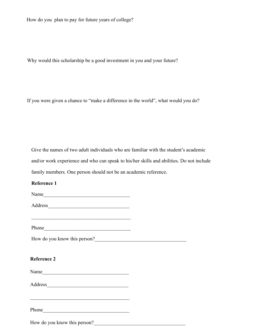How do you plan to pay for future years of college?

Why would this scholarship be a good investment in you and your future?

If you were given a chance to "make a difference in the world", what would you do?

Give the names of two adult individuals who are familiar with the student's academic and/or work experience and who can speak to his/her skills and abilities. Do not include family members. One person should not be an academic reference.

# **Reference 1**

Name\_\_\_\_\_\_\_\_\_\_\_\_\_\_\_\_\_\_\_\_\_\_\_\_\_\_\_\_\_\_\_\_\_\_

Address\_\_\_\_\_\_\_\_\_\_\_\_\_\_\_\_\_\_\_\_\_\_\_\_\_\_\_\_\_\_\_\_

Phone\_\_\_\_\_\_\_\_\_\_\_\_\_\_\_\_\_\_\_\_\_\_\_\_\_\_\_\_\_\_\_\_\_\_

 $\mathcal{L}_\text{max}$  and  $\mathcal{L}_\text{max}$  and  $\mathcal{L}_\text{max}$  and  $\mathcal{L}_\text{max}$ 

How do you know this person?\_\_\_\_\_\_\_\_\_\_\_\_\_\_\_\_\_\_\_\_\_\_\_\_\_\_\_\_\_\_\_\_\_\_\_\_

#### **Reference 2**

Name\_\_\_\_\_\_\_\_\_\_\_\_\_\_\_\_\_\_\_\_\_\_\_\_\_\_\_\_\_\_\_\_\_\_

Address\_\_\_\_\_\_\_\_\_\_\_\_\_\_\_\_\_\_\_\_\_\_\_\_\_\_\_\_\_\_\_\_

 $\mathcal{L}_\text{max}$  and  $\mathcal{L}_\text{max}$  and  $\mathcal{L}_\text{max}$  and  $\mathcal{L}_\text{max}$ 

Phone\_\_\_\_\_\_\_\_\_\_\_\_\_\_\_\_\_\_\_\_\_\_\_\_\_\_\_\_\_\_\_\_\_\_

How do you know this person?